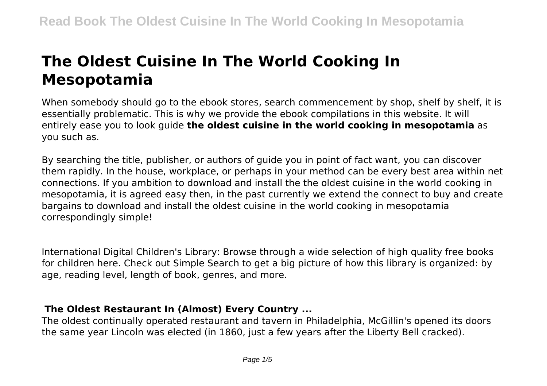# **The Oldest Cuisine In The World Cooking In Mesopotamia**

When somebody should go to the ebook stores, search commencement by shop, shelf by shelf, it is essentially problematic. This is why we provide the ebook compilations in this website. It will entirely ease you to look guide **the oldest cuisine in the world cooking in mesopotamia** as you such as.

By searching the title, publisher, or authors of guide you in point of fact want, you can discover them rapidly. In the house, workplace, or perhaps in your method can be every best area within net connections. If you ambition to download and install the the oldest cuisine in the world cooking in mesopotamia, it is agreed easy then, in the past currently we extend the connect to buy and create bargains to download and install the oldest cuisine in the world cooking in mesopotamia correspondingly simple!

International Digital Children's Library: Browse through a wide selection of high quality free books for children here. Check out Simple Search to get a big picture of how this library is organized: by age, reading level, length of book, genres, and more.

## **The Oldest Restaurant In (Almost) Every Country ...**

The oldest continually operated restaurant and tavern in Philadelphia, McGillin's opened its doors the same year Lincoln was elected (in 1860, just a few years after the Liberty Bell cracked).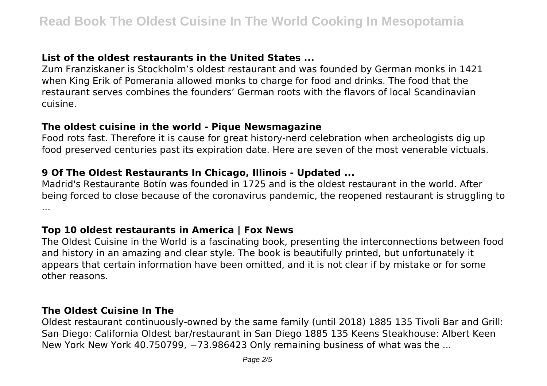# **List of the oldest restaurants in the United States ...**

Zum Franziskaner is Stockholm's oldest restaurant and was founded by German monks in 1421 when King Erik of Pomerania allowed monks to charge for food and drinks. The food that the restaurant serves combines the founders' German roots with the flavors of local Scandinavian cuisine.

#### **The oldest cuisine in the world - Pique Newsmagazine**

Food rots fast. Therefore it is cause for great history-nerd celebration when archeologists dig up food preserved centuries past its expiration date. Here are seven of the most venerable victuals.

# **9 Of The Oldest Restaurants In Chicago, Illinois - Updated ...**

Madrid's Restaurante Botín was founded in 1725 and is the oldest restaurant in the world. After being forced to close because of the coronavirus pandemic, the reopened restaurant is struggling to ...

# **Top 10 oldest restaurants in America | Fox News**

The Oldest Cuisine in the World is a fascinating book, presenting the interconnections between food and history in an amazing and clear style. The book is beautifully printed, but unfortunately it appears that certain information have been omitted, and it is not clear if by mistake or for some other reasons.

## **The Oldest Cuisine In The**

Oldest restaurant continuously-owned by the same family (until 2018) 1885 135 Tivoli Bar and Grill: San Diego: California Oldest bar/restaurant in San Diego 1885 135 Keens Steakhouse: Albert Keen New York New York 40.750799, −73.986423 Only remaining business of what was the ...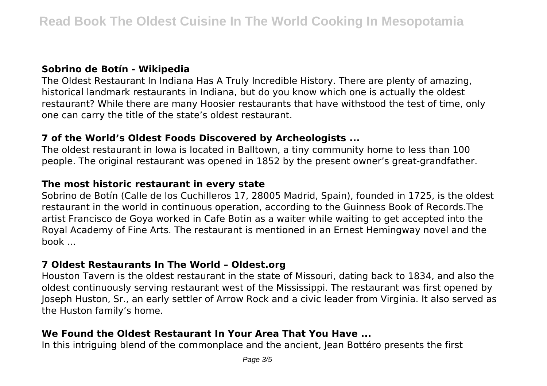#### **Sobrino de Botín - Wikipedia**

The Oldest Restaurant In Indiana Has A Truly Incredible History. There are plenty of amazing, historical landmark restaurants in Indiana, but do you know which one is actually the oldest restaurant? While there are many Hoosier restaurants that have withstood the test of time, only one can carry the title of the state's oldest restaurant.

## **7 of the World's Oldest Foods Discovered by Archeologists ...**

The oldest restaurant in Iowa is located in Balltown, a tiny community home to less than 100 people. The original restaurant was opened in 1852 by the present owner's great-grandfather.

## **The most historic restaurant in every state**

Sobrino de Botín (Calle de los Cuchilleros 17, 28005 Madrid, Spain), founded in 1725, is the oldest restaurant in the world in continuous operation, according to the Guinness Book of Records.The artist Francisco de Goya worked in Cafe Botin as a waiter while waiting to get accepted into the Royal Academy of Fine Arts. The restaurant is mentioned in an Ernest Hemingway novel and the book ...

## **7 Oldest Restaurants In The World – Oldest.org**

Houston Tavern is the oldest restaurant in the state of Missouri, dating back to 1834, and also the oldest continuously serving restaurant west of the Mississippi. The restaurant was first opened by Joseph Huston, Sr., an early settler of Arrow Rock and a civic leader from Virginia. It also served as the Huston family's home.

# **We Found the Oldest Restaurant In Your Area That You Have ...**

In this intriguing blend of the commonplace and the ancient, Jean Bottéro presents the first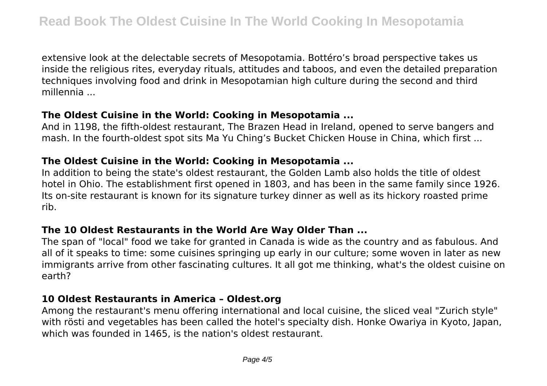extensive look at the delectable secrets of Mesopotamia. Bottéro's broad perspective takes us inside the religious rites, everyday rituals, attitudes and taboos, and even the detailed preparation techniques involving food and drink in Mesopotamian high culture during the second and third millennia ...

#### **The Oldest Cuisine in the World: Cooking in Mesopotamia ...**

And in 1198, the fifth-oldest restaurant, The Brazen Head in Ireland, opened to serve bangers and mash. In the fourth-oldest spot sits Ma Yu Ching's Bucket Chicken House in China, which first ...

#### **The Oldest Cuisine in the World: Cooking in Mesopotamia ...**

In addition to being the state's oldest restaurant, the Golden Lamb also holds the title of oldest hotel in Ohio. The establishment first opened in 1803, and has been in the same family since 1926. Its on-site restaurant is known for its signature turkey dinner as well as its hickory roasted prime rib.

## **The 10 Oldest Restaurants in the World Are Way Older Than ...**

The span of "local" food we take for granted in Canada is wide as the country and as fabulous. And all of it speaks to time: some cuisines springing up early in our culture; some woven in later as new immigrants arrive from other fascinating cultures. It all got me thinking, what's the oldest cuisine on earth?

## **10 Oldest Restaurants in America – Oldest.org**

Among the restaurant's menu offering international and local cuisine, the sliced veal "Zurich style" with rösti and vegetables has been called the hotel's specialty dish. Honke Owariya in Kyoto, Japan, which was founded in 1465, is the nation's oldest restaurant.